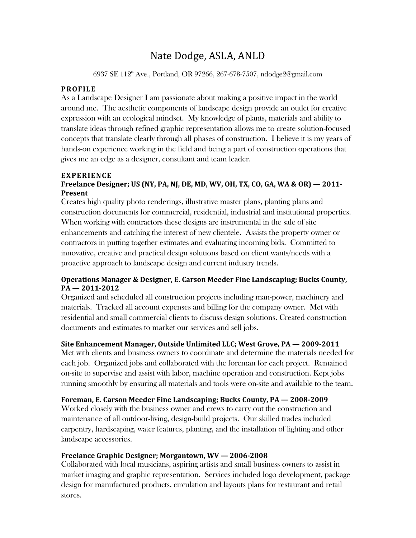# Nate Dodge, ASLA, ANLD

6937 SE 112<sup>th</sup> Ave., Portland, OR 97266, 267-678-7507, ndodge2@gmail.com

## **PROFILE**

As a Landscape Designer I am passionate about making a positive impact in the world around me. The aesthetic components of landscape design provide an outlet for creative expression with an ecological mindset. My knowledge of plants, materials and ability to translate ideas through refined graphic representation allows me to create solution-focused concepts that translate clearly through all phases of construction. I believe it is my years of hands-on experience working in the field and being a part of construction operations that gives me an edge as a designer, consultant and team leader.

## **EXPERIENCE**

## **Freelance Designer; US (NY, PA, NJ, DE, MD, WV, OH, TX, CO, GA, WA & OR) — 2011- Present**

Creates high quality photo renderings, illustrative master plans, planting plans and construction documents for commercial, residential, industrial and institutional properties. When working with contractors these designs are instrumental in the sale of site enhancements and catching the interest of new clientele. Assists the property owner or contractors in putting together estimates and evaluating incoming bids. Committed to innovative, creative and practical design solutions based on client wants/needs with a proactive approach to landscape design and current industry trends.

## **Operations Manager & Designer, E. Carson Meeder Fine Landscaping; Bucks County, PA — 2011-2012**

Organized and scheduled all construction projects including man-power, machinery and materials. Tracked all account expenses and billing for the company owner. Met with residential and small commercial clients to discuss design solutions. Created construction documents and estimates to market our services and sell jobs.

# **Site Enhancement Manager, Outside Unlimited LLC; West Grove, PA — 2009-2011**

Met with clients and business owners to coordinate and determine the materials needed for each job. Organized jobs and collaborated with the foreman for each project. Remained on-site to supervise and assist with labor, machine operation and construction. Kept jobs running smoothly by ensuring all materials and tools were on-site and available to the team.

# **Foreman, E. Carson Meeder Fine Landscaping; Bucks County, PA — 2008-2009**

Worked closely with the business owner and crews to carry out the construction and maintenance of all outdoor-living, design-build projects. Our skilled trades included carpentry, hardscaping, water features, planting, and the installation of lighting and other landscape accessories.

#### **Freelance Graphic Designer; Morgantown, WV — 2006-2008**

Collaborated with local musicians, aspiring artists and small business owners to assist in market imaging and graphic representation. Services included logo development, package design for manufactured products, circulation and layouts plans for restaurant and retail stores.